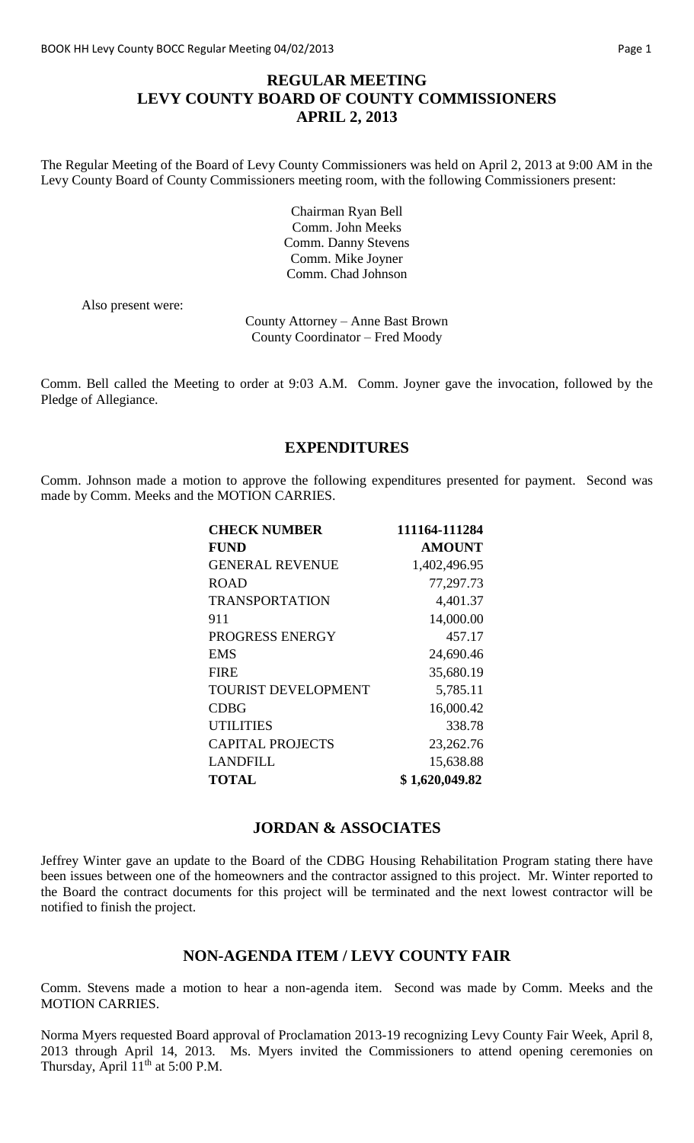# **REGULAR MEETING LEVY COUNTY BOARD OF COUNTY COMMISSIONERS APRIL 2, 2013**

The Regular Meeting of the Board of Levy County Commissioners was held on April 2, 2013 at 9:00 AM in the Levy County Board of County Commissioners meeting room, with the following Commissioners present:

> Chairman Ryan Bell Comm. John Meeks Comm. Danny Stevens Comm. Mike Joyner Comm. Chad Johnson

Also present were:

County Attorney – Anne Bast Brown County Coordinator – Fred Moody

Comm. Bell called the Meeting to order at 9:03 A.M. Comm. Joyner gave the invocation, followed by the Pledge of Allegiance.

#### **EXPENDITURES**

Comm. Johnson made a motion to approve the following expenditures presented for payment. Second was made by Comm. Meeks and the MOTION CARRIES.

| <b>CHECK NUMBER</b>        | 111164-111284  |
|----------------------------|----------------|
| <b>FUND</b>                | <b>AMOUNT</b>  |
| <b>GENERAL REVENUE</b>     | 1,402,496.95   |
| <b>ROAD</b>                | 77,297.73      |
| <b>TRANSPORTATION</b>      | 4,401.37       |
| 911                        | 14,000.00      |
| PROGRESS ENERGY            | 457.17         |
| <b>EMS</b>                 | 24,690.46      |
| <b>FIRE</b>                | 35,680.19      |
| <b>TOURIST DEVELOPMENT</b> | 5,785.11       |
| <b>CDBG</b>                | 16,000.42      |
| <b>UTILITIES</b>           | 338.78         |
| <b>CAPITAL PROJECTS</b>    | 23,262.76      |
| <b>LANDFILL</b>            | 15,638.88      |
| <b>TOTAL</b>               | \$1,620,049.82 |

#### **JORDAN & ASSOCIATES**

Jeffrey Winter gave an update to the Board of the CDBG Housing Rehabilitation Program stating there have been issues between one of the homeowners and the contractor assigned to this project. Mr. Winter reported to the Board the contract documents for this project will be terminated and the next lowest contractor will be notified to finish the project.

#### **NON-AGENDA ITEM / LEVY COUNTY FAIR**

Comm. Stevens made a motion to hear a non-agenda item. Second was made by Comm. Meeks and the MOTION CARRIES.

Norma Myers requested Board approval of Proclamation 2013-19 recognizing Levy County Fair Week, April 8, 2013 through April 14, 2013. Ms. Myers invited the Commissioners to attend opening ceremonies on Thursday, April  $11<sup>th</sup>$  at 5:00 P.M.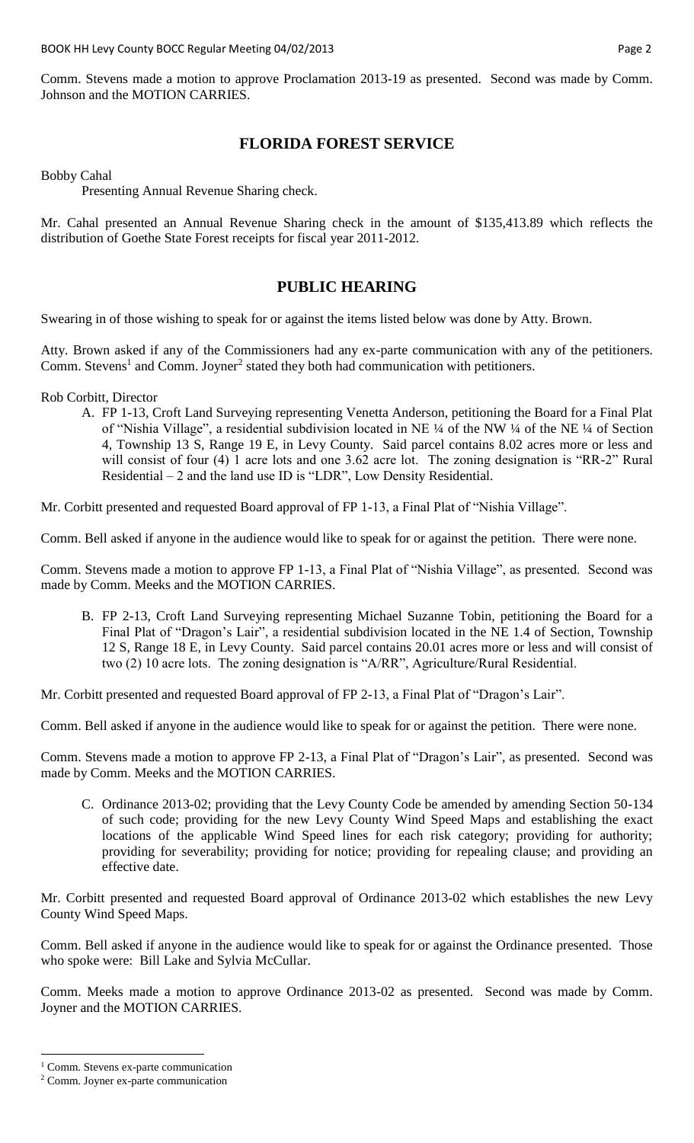Comm. Stevens made a motion to approve Proclamation 2013-19 as presented. Second was made by Comm. Johnson and the MOTION CARRIES.

#### **FLORIDA FOREST SERVICE**

Bobby Cahal

Presenting Annual Revenue Sharing check.

Mr. Cahal presented an Annual Revenue Sharing check in the amount of \$135,413.89 which reflects the distribution of Goethe State Forest receipts for fiscal year 2011-2012.

# **PUBLIC HEARING**

Swearing in of those wishing to speak for or against the items listed below was done by Atty. Brown.

Atty. Brown asked if any of the Commissioners had any ex-parte communication with any of the petitioners. Comm. Stevens<sup>1</sup> and Comm. Joyner<sup>2</sup> stated they both had communication with petitioners.

- Rob Corbitt, Director
	- A. FP 1-13, Croft Land Surveying representing Venetta Anderson, petitioning the Board for a Final Plat of "Nishia Village", a residential subdivision located in NE ¼ of the NW ¼ of the NE ¼ of Section 4, Township 13 S, Range 19 E, in Levy County. Said parcel contains 8.02 acres more or less and will consist of four (4) 1 acre lots and one 3.62 acre lot. The zoning designation is "RR-2" Rural Residential – 2 and the land use ID is "LDR", Low Density Residential.

Mr. Corbitt presented and requested Board approval of FP 1-13, a Final Plat of "Nishia Village".

Comm. Bell asked if anyone in the audience would like to speak for or against the petition. There were none.

Comm. Stevens made a motion to approve FP 1-13, a Final Plat of "Nishia Village", as presented. Second was made by Comm. Meeks and the MOTION CARRIES.

B. FP 2-13, Croft Land Surveying representing Michael Suzanne Tobin, petitioning the Board for a Final Plat of "Dragon's Lair", a residential subdivision located in the NE 1.4 of Section, Township 12 S, Range 18 E, in Levy County. Said parcel contains 20.01 acres more or less and will consist of two (2) 10 acre lots. The zoning designation is "A/RR", Agriculture/Rural Residential.

Mr. Corbitt presented and requested Board approval of FP 2-13, a Final Plat of "Dragon's Lair".

Comm. Bell asked if anyone in the audience would like to speak for or against the petition. There were none.

Comm. Stevens made a motion to approve FP 2-13, a Final Plat of "Dragon's Lair", as presented. Second was made by Comm. Meeks and the MOTION CARRIES.

C. Ordinance 2013-02; providing that the Levy County Code be amended by amending Section 50-134 of such code; providing for the new Levy County Wind Speed Maps and establishing the exact locations of the applicable Wind Speed lines for each risk category; providing for authority; providing for severability; providing for notice; providing for repealing clause; and providing an effective date.

Mr. Corbitt presented and requested Board approval of Ordinance 2013-02 which establishes the new Levy County Wind Speed Maps.

Comm. Bell asked if anyone in the audience would like to speak for or against the Ordinance presented. Those who spoke were: Bill Lake and Sylvia McCullar.

Comm. Meeks made a motion to approve Ordinance 2013-02 as presented. Second was made by Comm. Joyner and the MOTION CARRIES.

 $\overline{a}$ 

<sup>&</sup>lt;sup>1</sup> Comm. Stevens ex-parte communication

<sup>2</sup> Comm. Joyner ex-parte communication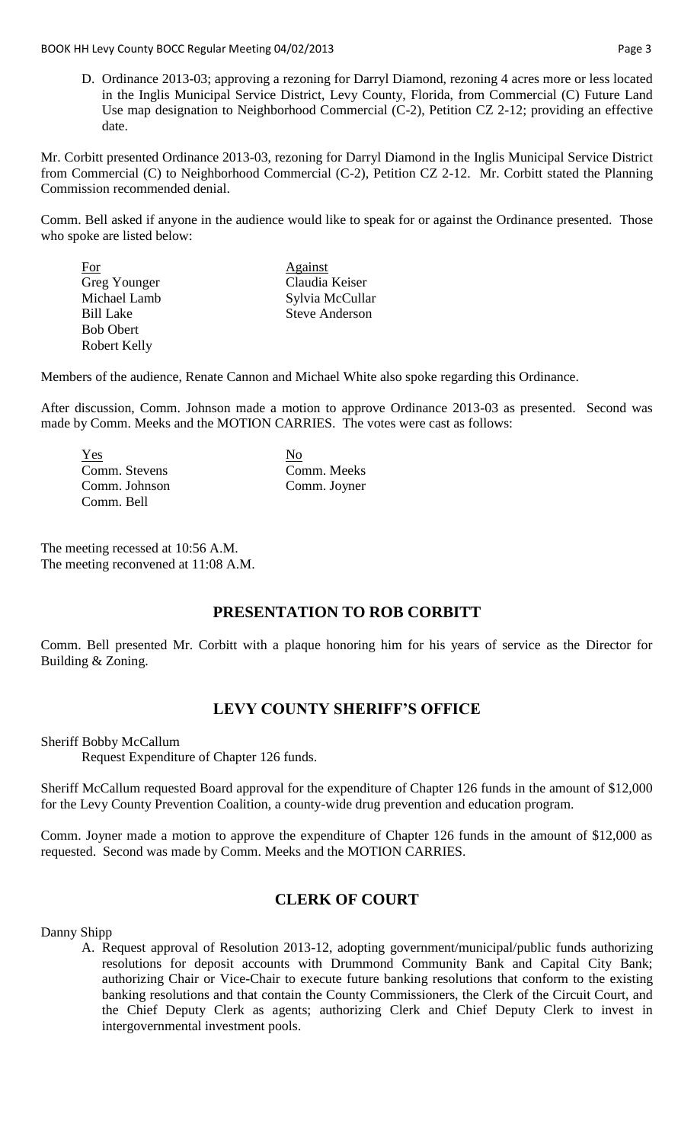D. Ordinance 2013-03; approving a rezoning for Darryl Diamond, rezoning 4 acres more or less located in the Inglis Municipal Service District, Levy County, Florida, from Commercial (C) Future Land Use map designation to Neighborhood Commercial (C-2), Petition CZ 2-12; providing an effective date.

Mr. Corbitt presented Ordinance 2013-03, rezoning for Darryl Diamond in the Inglis Municipal Service District from Commercial (C) to Neighborhood Commercial (C-2), Petition CZ 2-12. Mr. Corbitt stated the Planning Commission recommended denial.

Comm. Bell asked if anyone in the audience would like to speak for or against the Ordinance presented. Those who spoke are listed below:

| For              | Against               |
|------------------|-----------------------|
| Greg Younger     | Claudia Keiser        |
| Michael Lamb     | Sylvia McCullar       |
| <b>Bill Lake</b> | <b>Steve Anderson</b> |
| <b>Bob Obert</b> |                       |
| Robert Kelly     |                       |

Members of the audience, Renate Cannon and Michael White also spoke regarding this Ordinance.

After discussion, Comm. Johnson made a motion to approve Ordinance 2013-03 as presented. Second was made by Comm. Meeks and the MOTION CARRIES. The votes were cast as follows:

Yes No Comm. Stevens Comm. Meeks Comm. Johnson Comm. Joyner Comm. Bell

The meeting recessed at 10:56 A.M. The meeting reconvened at 11:08 A.M.

# **PRESENTATION TO ROB CORBITT**

Comm. Bell presented Mr. Corbitt with a plaque honoring him for his years of service as the Director for Building & Zoning.

# **LEVY COUNTY SHERIFF'S OFFICE**

Sheriff Bobby McCallum

Request Expenditure of Chapter 126 funds.

Sheriff McCallum requested Board approval for the expenditure of Chapter 126 funds in the amount of \$12,000 for the Levy County Prevention Coalition, a county-wide drug prevention and education program.

Comm. Joyner made a motion to approve the expenditure of Chapter 126 funds in the amount of \$12,000 as requested. Second was made by Comm. Meeks and the MOTION CARRIES.

# **CLERK OF COURT**

Danny Shipp

A. Request approval of Resolution 2013-12, adopting government/municipal/public funds authorizing resolutions for deposit accounts with Drummond Community Bank and Capital City Bank; authorizing Chair or Vice-Chair to execute future banking resolutions that conform to the existing banking resolutions and that contain the County Commissioners, the Clerk of the Circuit Court, and the Chief Deputy Clerk as agents; authorizing Clerk and Chief Deputy Clerk to invest in intergovernmental investment pools.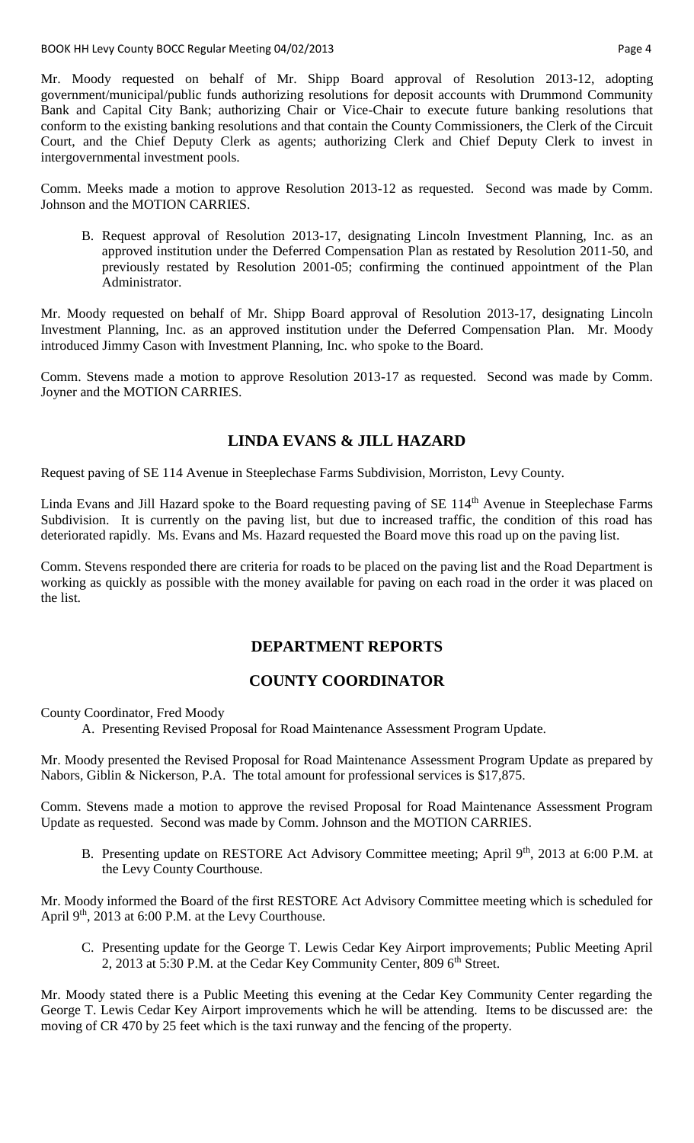Mr. Moody requested on behalf of Mr. Shipp Board approval of Resolution 2013-12, adopting government/municipal/public funds authorizing resolutions for deposit accounts with Drummond Community Bank and Capital City Bank; authorizing Chair or Vice-Chair to execute future banking resolutions that conform to the existing banking resolutions and that contain the County Commissioners, the Clerk of the Circuit Court, and the Chief Deputy Clerk as agents; authorizing Clerk and Chief Deputy Clerk to invest in intergovernmental investment pools.

Comm. Meeks made a motion to approve Resolution 2013-12 as requested. Second was made by Comm. Johnson and the MOTION CARRIES.

B. Request approval of Resolution 2013-17, designating Lincoln Investment Planning, Inc. as an approved institution under the Deferred Compensation Plan as restated by Resolution 2011-50, and previously restated by Resolution 2001-05; confirming the continued appointment of the Plan Administrator.

Mr. Moody requested on behalf of Mr. Shipp Board approval of Resolution 2013-17, designating Lincoln Investment Planning, Inc. as an approved institution under the Deferred Compensation Plan. Mr. Moody introduced Jimmy Cason with Investment Planning, Inc. who spoke to the Board.

Comm. Stevens made a motion to approve Resolution 2013-17 as requested. Second was made by Comm. Joyner and the MOTION CARRIES.

# **LINDA EVANS & JILL HAZARD**

Request paving of SE 114 Avenue in Steeplechase Farms Subdivision, Morriston, Levy County.

Linda Evans and Jill Hazard spoke to the Board requesting paving of SE 114<sup>th</sup> Avenue in Steeplechase Farms Subdivision. It is currently on the paving list, but due to increased traffic, the condition of this road has deteriorated rapidly. Ms. Evans and Ms. Hazard requested the Board move this road up on the paving list.

Comm. Stevens responded there are criteria for roads to be placed on the paving list and the Road Department is working as quickly as possible with the money available for paving on each road in the order it was placed on the list.

# **DEPARTMENT REPORTS**

# **COUNTY COORDINATOR**

County Coordinator, Fred Moody

A. Presenting Revised Proposal for Road Maintenance Assessment Program Update.

Mr. Moody presented the Revised Proposal for Road Maintenance Assessment Program Update as prepared by Nabors, Giblin & Nickerson, P.A. The total amount for professional services is \$17,875.

Comm. Stevens made a motion to approve the revised Proposal for Road Maintenance Assessment Program Update as requested. Second was made by Comm. Johnson and the MOTION CARRIES.

B. Presenting update on RESTORE Act Advisory Committee meeting; April 9<sup>th</sup>, 2013 at 6:00 P.M. at the Levy County Courthouse.

Mr. Moody informed the Board of the first RESTORE Act Advisory Committee meeting which is scheduled for April 9<sup>th</sup>, 2013 at 6:00 P.M. at the Levy Courthouse.

C. Presenting update for the George T. Lewis Cedar Key Airport improvements; Public Meeting April 2, 2013 at 5:30 P.M. at the Cedar Key Community Center, 809 6<sup>th</sup> Street.

Mr. Moody stated there is a Public Meeting this evening at the Cedar Key Community Center regarding the George T. Lewis Cedar Key Airport improvements which he will be attending. Items to be discussed are: the moving of CR 470 by 25 feet which is the taxi runway and the fencing of the property.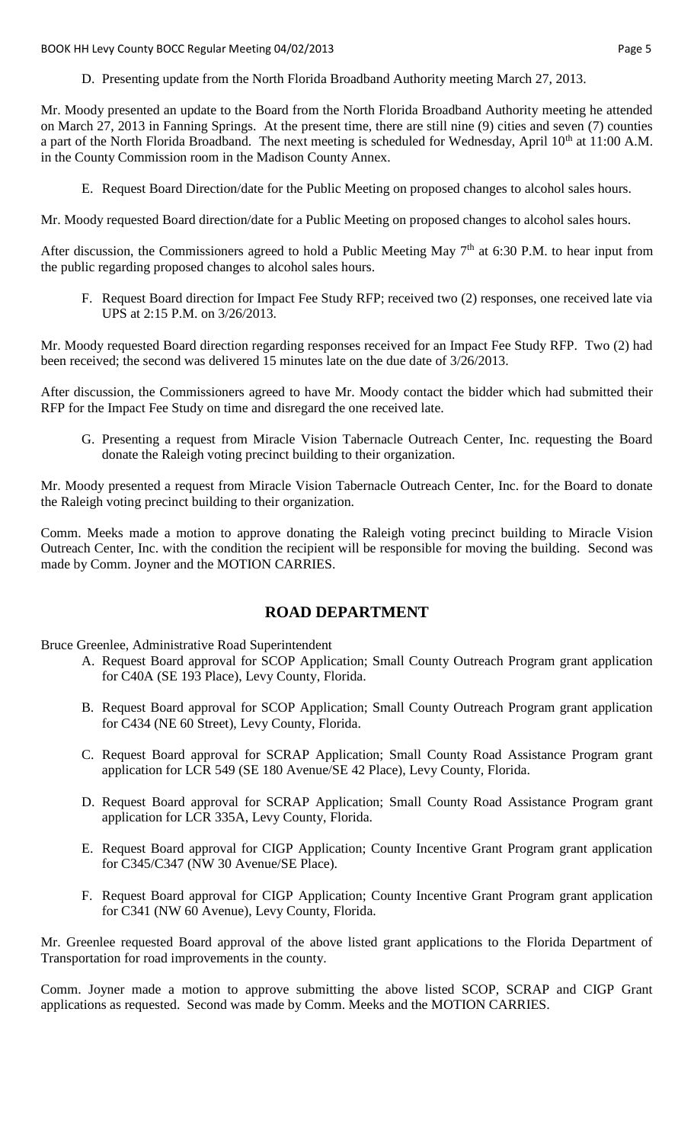BOOK HH Levy County BOCC Regular Meeting 04/02/2013 **Page 5** and the state of the state of the state of the state of the state of the state of the state of the state of the state of the state of the state of the state of t

D. Presenting update from the North Florida Broadband Authority meeting March 27, 2013.

Mr. Moody presented an update to the Board from the North Florida Broadband Authority meeting he attended on March 27, 2013 in Fanning Springs. At the present time, there are still nine (9) cities and seven (7) counties a part of the North Florida Broadband. The next meeting is scheduled for Wednesday, April 10<sup>th</sup> at 11:00 A.M. in the County Commission room in the Madison County Annex.

E. Request Board Direction/date for the Public Meeting on proposed changes to alcohol sales hours.

Mr. Moody requested Board direction/date for a Public Meeting on proposed changes to alcohol sales hours.

After discussion, the Commissioners agreed to hold a Public Meeting May  $7<sup>th</sup>$  at 6:30 P.M. to hear input from the public regarding proposed changes to alcohol sales hours.

F. Request Board direction for Impact Fee Study RFP; received two (2) responses, one received late via UPS at 2:15 P.M. on 3/26/2013.

Mr. Moody requested Board direction regarding responses received for an Impact Fee Study RFP. Two (2) had been received; the second was delivered 15 minutes late on the due date of 3/26/2013.

After discussion, the Commissioners agreed to have Mr. Moody contact the bidder which had submitted their RFP for the Impact Fee Study on time and disregard the one received late.

G. Presenting a request from Miracle Vision Tabernacle Outreach Center, Inc. requesting the Board donate the Raleigh voting precinct building to their organization.

Mr. Moody presented a request from Miracle Vision Tabernacle Outreach Center, Inc. for the Board to donate the Raleigh voting precinct building to their organization.

Comm. Meeks made a motion to approve donating the Raleigh voting precinct building to Miracle Vision Outreach Center, Inc. with the condition the recipient will be responsible for moving the building. Second was made by Comm. Joyner and the MOTION CARRIES.

#### **ROAD DEPARTMENT**

Bruce Greenlee, Administrative Road Superintendent

- A. Request Board approval for SCOP Application; Small County Outreach Program grant application for C40A (SE 193 Place), Levy County, Florida.
	- B. Request Board approval for SCOP Application; Small County Outreach Program grant application for C434 (NE 60 Street), Levy County, Florida.
	- C. Request Board approval for SCRAP Application; Small County Road Assistance Program grant application for LCR 549 (SE 180 Avenue/SE 42 Place), Levy County, Florida.
	- D. Request Board approval for SCRAP Application; Small County Road Assistance Program grant application for LCR 335A, Levy County, Florida.
	- E. Request Board approval for CIGP Application; County Incentive Grant Program grant application for C345/C347 (NW 30 Avenue/SE Place).
	- F. Request Board approval for CIGP Application; County Incentive Grant Program grant application for C341 (NW 60 Avenue), Levy County, Florida.

Mr. Greenlee requested Board approval of the above listed grant applications to the Florida Department of Transportation for road improvements in the county.

Comm. Joyner made a motion to approve submitting the above listed SCOP, SCRAP and CIGP Grant applications as requested. Second was made by Comm. Meeks and the MOTION CARRIES.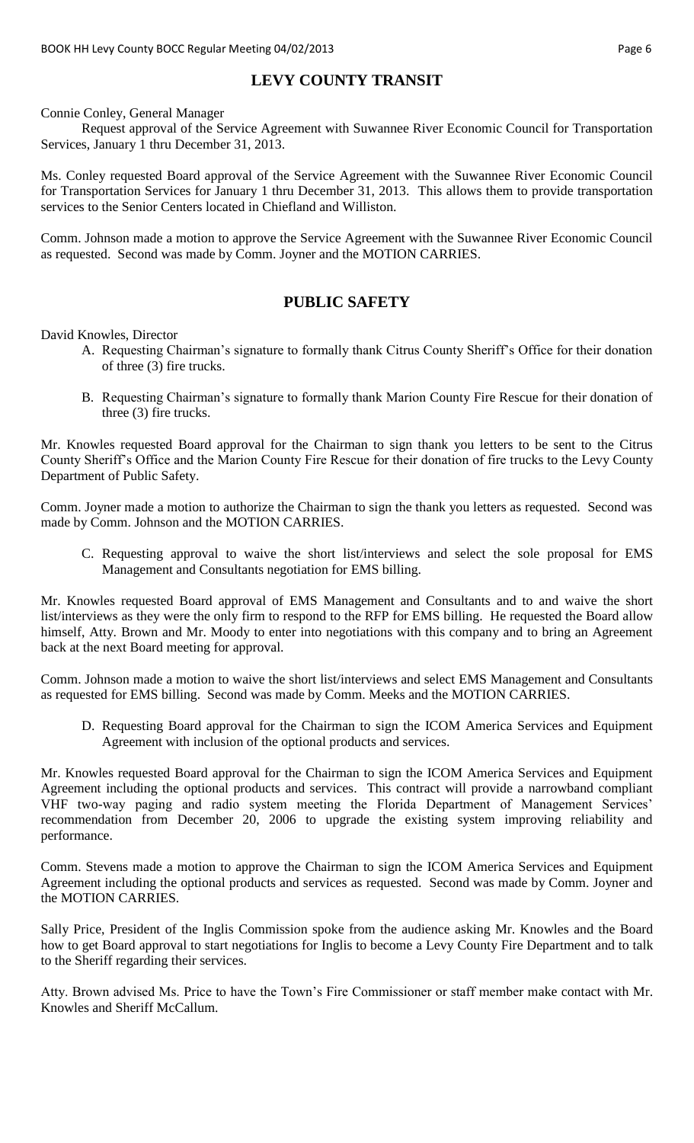# **LEVY COUNTY TRANSIT**

Connie Conley, General Manager

Request approval of the Service Agreement with Suwannee River Economic Council for Transportation Services, January 1 thru December 31, 2013.

Ms. Conley requested Board approval of the Service Agreement with the Suwannee River Economic Council for Transportation Services for January 1 thru December 31, 2013. This allows them to provide transportation services to the Senior Centers located in Chiefland and Williston.

Comm. Johnson made a motion to approve the Service Agreement with the Suwannee River Economic Council as requested. Second was made by Comm. Joyner and the MOTION CARRIES.

#### **PUBLIC SAFETY**

David Knowles, Director

- A. Requesting Chairman's signature to formally thank Citrus County Sheriff's Office for their donation of three (3) fire trucks.
- B. Requesting Chairman's signature to formally thank Marion County Fire Rescue for their donation of three (3) fire trucks.

Mr. Knowles requested Board approval for the Chairman to sign thank you letters to be sent to the Citrus County Sheriff's Office and the Marion County Fire Rescue for their donation of fire trucks to the Levy County Department of Public Safety.

Comm. Joyner made a motion to authorize the Chairman to sign the thank you letters as requested. Second was made by Comm. Johnson and the MOTION CARRIES.

C. Requesting approval to waive the short list/interviews and select the sole proposal for EMS Management and Consultants negotiation for EMS billing.

Mr. Knowles requested Board approval of EMS Management and Consultants and to and waive the short list/interviews as they were the only firm to respond to the RFP for EMS billing. He requested the Board allow himself, Atty. Brown and Mr. Moody to enter into negotiations with this company and to bring an Agreement back at the next Board meeting for approval.

Comm. Johnson made a motion to waive the short list/interviews and select EMS Management and Consultants as requested for EMS billing. Second was made by Comm. Meeks and the MOTION CARRIES.

D. Requesting Board approval for the Chairman to sign the ICOM America Services and Equipment Agreement with inclusion of the optional products and services.

Mr. Knowles requested Board approval for the Chairman to sign the ICOM America Services and Equipment Agreement including the optional products and services. This contract will provide a narrowband compliant VHF two-way paging and radio system meeting the Florida Department of Management Services' recommendation from December 20, 2006 to upgrade the existing system improving reliability and performance.

Comm. Stevens made a motion to approve the Chairman to sign the ICOM America Services and Equipment Agreement including the optional products and services as requested. Second was made by Comm. Joyner and the MOTION CARRIES.

Sally Price, President of the Inglis Commission spoke from the audience asking Mr. Knowles and the Board how to get Board approval to start negotiations for Inglis to become a Levy County Fire Department and to talk to the Sheriff regarding their services.

Atty. Brown advised Ms. Price to have the Town's Fire Commissioner or staff member make contact with Mr. Knowles and Sheriff McCallum.